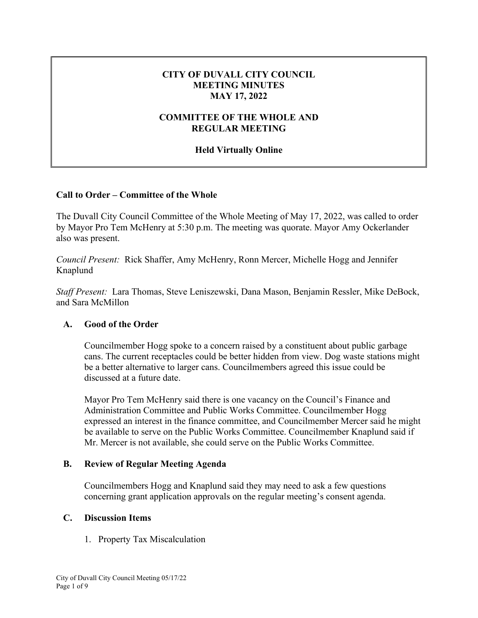#### **CITY OF DUVALL CITY COUNCIL MEETING MINUTES MAY 17, 2022**

#### **COMMITTEE OF THE WHOLE AND REGULAR MEETING**

#### **Held Virtually Online**

#### **Call to Order – Committee of the Whole**

The Duvall City Council Committee of the Whole Meeting of May 17, 2022, was called to order by Mayor Pro Tem McHenry at 5:30 p.m. The meeting was quorate. Mayor Amy Ockerlander also was present.

*Council Present:* Rick Shaffer, Amy McHenry, Ronn Mercer, Michelle Hogg and Jennifer Knaplund

*Staff Present:* Lara Thomas, Steve Leniszewski, Dana Mason, Benjamin Ressler, Mike DeBock, and Sara McMillon

#### **A. Good of the Order**

Councilmember Hogg spoke to a concern raised by a constituent about public garbage cans. The current receptacles could be better hidden from view. Dog waste stations might be a better alternative to larger cans. Councilmembers agreed this issue could be discussed at a future date.

Mayor Pro Tem McHenry said there is one vacancy on the Council's Finance and Administration Committee and Public Works Committee. Councilmember Hogg expressed an interest in the finance committee, and Councilmember Mercer said he might be available to serve on the Public Works Committee. Councilmember Knaplund said if Mr. Mercer is not available, she could serve on the Public Works Committee.

#### **B. Review of Regular Meeting Agenda**

Councilmembers Hogg and Knaplund said they may need to ask a few questions concerning grant application approvals on the regular meeting's consent agenda.

#### **C. Discussion Items**

1. Property Tax Miscalculation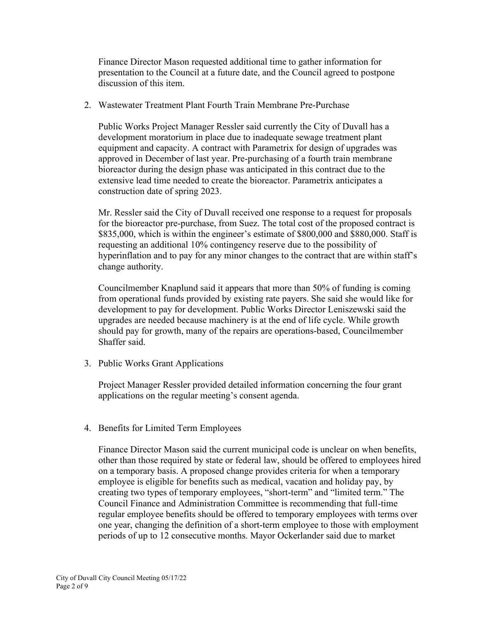Finance Director Mason requested additional time to gather information for presentation to the Council at a future date, and the Council agreed to postpone discussion of this item.

2. Wastewater Treatment Plant Fourth Train Membrane Pre-Purchase

Public Works Project Manager Ressler said currently the City of Duvall has a development moratorium in place due to inadequate sewage treatment plant equipment and capacity. A contract with Parametrix for design of upgrades was approved in December of last year. Pre-purchasing of a fourth train membrane bioreactor during the design phase was anticipated in this contract due to the extensive lead time needed to create the bioreactor. Parametrix anticipates a construction date of spring 2023.

Mr. Ressler said the City of Duvall received one response to a request for proposals for the bioreactor pre-purchase, from Suez. The total cost of the proposed contract is \$835,000, which is within the engineer's estimate of \$800,000 and \$880,000. Staff is requesting an additional 10% contingency reserve due to the possibility of hyperinflation and to pay for any minor changes to the contract that are within staff's change authority.

Councilmember Knaplund said it appears that more than 50% of funding is coming from operational funds provided by existing rate payers. She said she would like for development to pay for development. Public Works Director Leniszewski said the upgrades are needed because machinery is at the end of life cycle. While growth should pay for growth, many of the repairs are operations-based, Councilmember Shaffer said.

3. Public Works Grant Applications

Project Manager Ressler provided detailed information concerning the four grant applications on the regular meeting's consent agenda.

4. Benefits for Limited Term Employees

Finance Director Mason said the current municipal code is unclear on when benefits, other than those required by state or federal law, should be offered to employees hired on a temporary basis. A proposed change provides criteria for when a temporary employee is eligible for benefits such as medical, vacation and holiday pay, by creating two types of temporary employees, "short-term" and "limited term." The Council Finance and Administration Committee is recommending that full-time regular employee benefits should be offered to temporary employees with terms over one year, changing the definition of a short-term employee to those with employment periods of up to 12 consecutive months. Mayor Ockerlander said due to market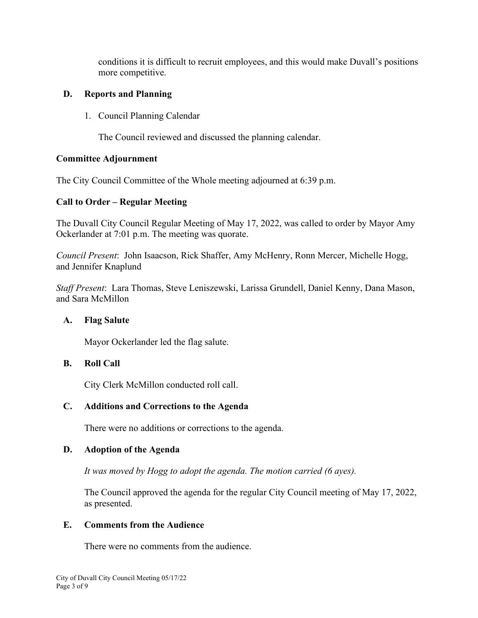conditions it is difficult to recruit employees, and this would make Duvall's positions more competitive.

## **D. Reports and Planning**

1. Council Planning Calendar

The Council reviewed and discussed the planning calendar.

# **Committee Adjournment**

The City Council Committee of the Whole meeting adjourned at 6:39 p.m.

# **Call to Order – Regular Meeting**

The Duvall City Council Regular Meeting of May 17, 2022, was called to order by Mayor Amy Ockerlander at 7:01 p.m. The meeting was quorate.

*Council Present*: John Isaacson, Rick Shaffer, Amy McHenry, Ronn Mercer, Michelle Hogg, and Jennifer Knaplund

*Staff Present*: Lara Thomas, Steve Leniszewski, Larissa Grundell, Daniel Kenny, Dana Mason, and Sara McMillon

## **A. Flag Salute**

Mayor Ockerlander led the flag salute.

# **B. Roll Call**

City Clerk McMillon conducted roll call.

# **C. Additions and Corrections to the Agenda**

There were no additions or corrections to the agenda.

## **D. Adoption of the Agenda**

*It was moved by Hogg to adopt the agenda. The motion carried (6 ayes).*

The Council approved the agenda for the regular City Council meeting of May 17, 2022, as presented.

## **E. Comments from the Audience**

There were no comments from the audience.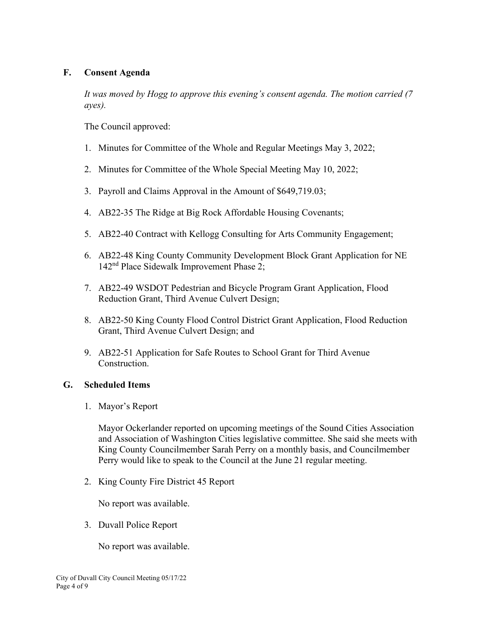# **F. Consent Agenda**

*It was moved by Hogg to approve this evening's consent agenda. The motion carried (7 ayes).*

The Council approved:

- 1. Minutes for Committee of the Whole and Regular Meetings May 3, 2022;
- 2. Minutes for Committee of the Whole Special Meeting May 10, 2022;
- 3. Payroll and Claims Approval in the Amount of \$649,719.03;
- 4. AB22-35 The Ridge at Big Rock Affordable Housing Covenants;
- 5. AB22-40 Contract with Kellogg Consulting for Arts Community Engagement;
- 6. AB22-48 King County Community Development Block Grant Application for NE 142nd Place Sidewalk Improvement Phase 2;
- 7. AB22-49 WSDOT Pedestrian and Bicycle Program Grant Application, Flood Reduction Grant, Third Avenue Culvert Design;
- 8. AB22-50 King County Flood Control District Grant Application, Flood Reduction Grant, Third Avenue Culvert Design; and
- 9. AB22-51 Application for Safe Routes to School Grant for Third Avenue Construction.

## **G. Scheduled Items**

1. Mayor's Report

Mayor Ockerlander reported on upcoming meetings of the Sound Cities Association and Association of Washington Cities legislative committee. She said she meets with King County Councilmember Sarah Perry on a monthly basis, and Councilmember Perry would like to speak to the Council at the June 21 regular meeting.

2. King County Fire District 45 Report

No report was available.

3. Duvall Police Report

No report was available.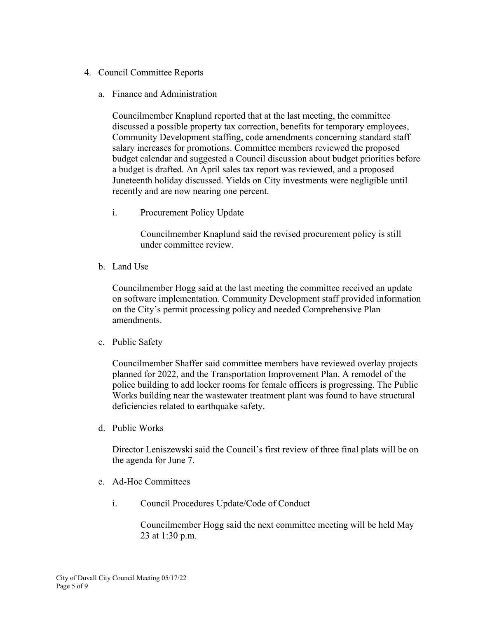- 4. Council Committee Reports
	- a. Finance and Administration

Councilmember Knaplund reported that at the last meeting, the committee discussed a possible property tax correction, benefits for temporary employees, Community Development staffing, code amendments concerning standard staff salary increases for promotions. Committee members reviewed the proposed budget calendar and suggested a Council discussion about budget priorities before a budget is drafted. An April sales tax report was reviewed, and a proposed Juneteenth holiday discussed. Yields on City investments were negligible until recently and are now nearing one percent.

i. Procurement Policy Update

Councilmember Knaplund said the revised procurement policy is still under committee review.

b. Land Use

Councilmember Hogg said at the last meeting the committee received an update on software implementation. Community Development staff provided information on the City's permit processing policy and needed Comprehensive Plan amendments.

c. Public Safety

Councilmember Shaffer said committee members have reviewed overlay projects planned for 2022, and the Transportation Improvement Plan. A remodel of the police building to add locker rooms for female officers is progressing. The Public Works building near the wastewater treatment plant was found to have structural deficiencies related to earthquake safety.

d. Public Works

Director Leniszewski said the Council's first review of three final plats will be on the agenda for June 7.

- e. Ad-Hoc Committees
	- i. Council Procedures Update/Code of Conduct

Councilmember Hogg said the next committee meeting will be held May 23 at 1:30 p.m.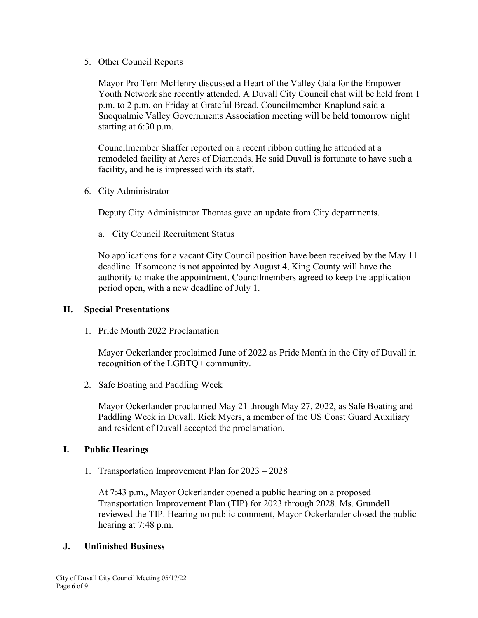5. Other Council Reports

Mayor Pro Tem McHenry discussed a Heart of the Valley Gala for the Empower Youth Network she recently attended. A Duvall City Council chat will be held from 1 p.m. to 2 p.m. on Friday at Grateful Bread. Councilmember Knaplund said a Snoqualmie Valley Governments Association meeting will be held tomorrow night starting at 6:30 p.m.

Councilmember Shaffer reported on a recent ribbon cutting he attended at a remodeled facility at Acres of Diamonds. He said Duvall is fortunate to have such a facility, and he is impressed with its staff.

6. City Administrator

Deputy City Administrator Thomas gave an update from City departments.

a. City Council Recruitment Status

No applications for a vacant City Council position have been received by the May 11 deadline. If someone is not appointed by August 4, King County will have the authority to make the appointment. Councilmembers agreed to keep the application period open, with a new deadline of July 1.

#### **H. Special Presentations**

1. Pride Month 2022 Proclamation

Mayor Ockerlander proclaimed June of 2022 as Pride Month in the City of Duvall in recognition of the LGBTQ+ community.

2. Safe Boating and Paddling Week

Mayor Ockerlander proclaimed May 21 through May 27, 2022, as Safe Boating and Paddling Week in Duvall. Rick Myers, a member of the US Coast Guard Auxiliary and resident of Duvall accepted the proclamation.

#### **I. Public Hearings**

1. Transportation Improvement Plan for 2023 – 2028

At 7:43 p.m., Mayor Ockerlander opened a public hearing on a proposed Transportation Improvement Plan (TIP) for 2023 through 2028. Ms. Grundell reviewed the TIP. Hearing no public comment, Mayor Ockerlander closed the public hearing at 7:48 p.m.

#### **J. Unfinished Business**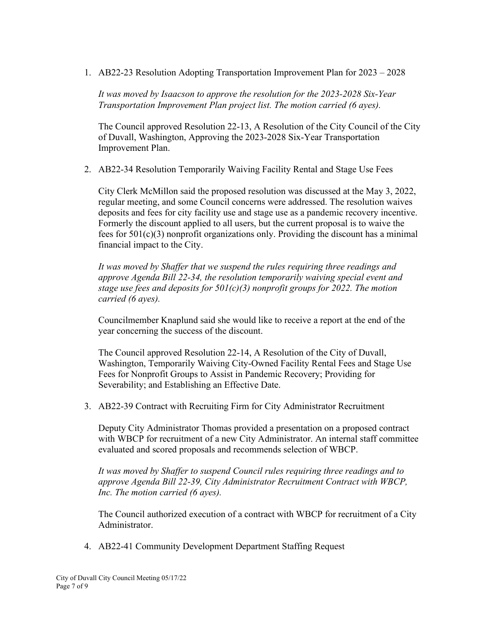1. AB22-23 Resolution Adopting Transportation Improvement Plan for 2023 – 2028

*It was moved by Isaacson to approve the resolution for the 2023-2028 Six-Year Transportation Improvement Plan project list. The motion carried (6 ayes).*

The Council approved Resolution 22-13, A Resolution of the City Council of the City of Duvall, Washington, Approving the 2023-2028 Six-Year Transportation Improvement Plan.

2. AB22-34 Resolution Temporarily Waiving Facility Rental and Stage Use Fees

City Clerk McMillon said the proposed resolution was discussed at the May 3, 2022, regular meeting, and some Council concerns were addressed. The resolution waives deposits and fees for city facility use and stage use as a pandemic recovery incentive. Formerly the discount applied to all users, but the current proposal is to waive the fees for  $501(c)(3)$  nonprofit organizations only. Providing the discount has a minimal financial impact to the City.

*It was moved by Shaffer that we suspend the rules requiring three readings and approve Agenda Bill 22-34, the resolution temporarily waiving special event and stage use fees and deposits for 501(c)(3) nonprofit groups for 2022. The motion carried (6 ayes).*

Councilmember Knaplund said she would like to receive a report at the end of the year concerning the success of the discount.

The Council approved Resolution 22-14, A Resolution of the City of Duvall, Washington, Temporarily Waiving City-Owned Facility Rental Fees and Stage Use Fees for Nonprofit Groups to Assist in Pandemic Recovery; Providing for Severability; and Establishing an Effective Date.

3. AB22-39 Contract with Recruiting Firm for City Administrator Recruitment

Deputy City Administrator Thomas provided a presentation on a proposed contract with WBCP for recruitment of a new City Administrator. An internal staff committee evaluated and scored proposals and recommends selection of WBCP.

*It was moved by Shaffer to suspend Council rules requiring three readings and to approve Agenda Bill 22-39, City Administrator Recruitment Contract with WBCP, Inc. The motion carried (6 ayes).*

The Council authorized execution of a contract with WBCP for recruitment of a City Administrator.

4. AB22-41 Community Development Department Staffing Request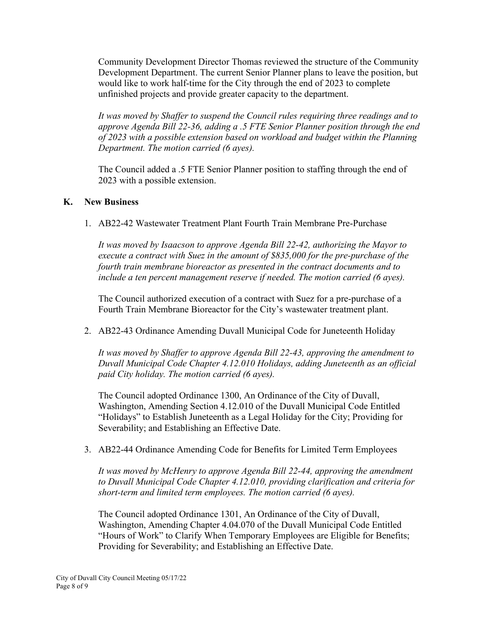Community Development Director Thomas reviewed the structure of the Community Development Department. The current Senior Planner plans to leave the position, but would like to work half-time for the City through the end of 2023 to complete unfinished projects and provide greater capacity to the department.

*It was moved by Shaffer to suspend the Council rules requiring three readings and to approve Agenda Bill 22-36, adding a .5 FTE Senior Planner position through the end of 2023 with a possible extension based on workload and budget within the Planning Department. The motion carried (6 ayes).*

The Council added a .5 FTE Senior Planner position to staffing through the end of 2023 with a possible extension.

#### **K. New Business**

1. AB22-42 Wastewater Treatment Plant Fourth Train Membrane Pre-Purchase

*It was moved by Isaacson to approve Agenda Bill 22-42, authorizing the Mayor to execute a contract with Suez in the amount of \$835,000 for the pre-purchase of the fourth train membrane bioreactor as presented in the contract documents and to include a ten percent management reserve if needed. The motion carried (6 ayes).*

The Council authorized execution of a contract with Suez for a pre-purchase of a Fourth Train Membrane Bioreactor for the City's wastewater treatment plant.

2. AB22-43 Ordinance Amending Duvall Municipal Code for Juneteenth Holiday

*It was moved by Shaffer to approve Agenda Bill 22-43, approving the amendment to Duvall Municipal Code Chapter 4.12.010 Holidays, adding Juneteenth as an official paid City holiday. The motion carried (6 ayes).*

The Council adopted Ordinance 1300, An Ordinance of the City of Duvall, Washington, Amending Section 4.12.010 of the Duvall Municipal Code Entitled "Holidays" to Establish Juneteenth as a Legal Holiday for the City; Providing for Severability; and Establishing an Effective Date.

3. AB22-44 Ordinance Amending Code for Benefits for Limited Term Employees

*It was moved by McHenry to approve Agenda Bill 22-44, approving the amendment to Duvall Municipal Code Chapter 4.12.010, providing clarification and criteria for short-term and limited term employees. The motion carried (6 ayes).*

The Council adopted Ordinance 1301, An Ordinance of the City of Duvall, Washington, Amending Chapter 4.04.070 of the Duvall Municipal Code Entitled "Hours of Work" to Clarify When Temporary Employees are Eligible for Benefits; Providing for Severability; and Establishing an Effective Date.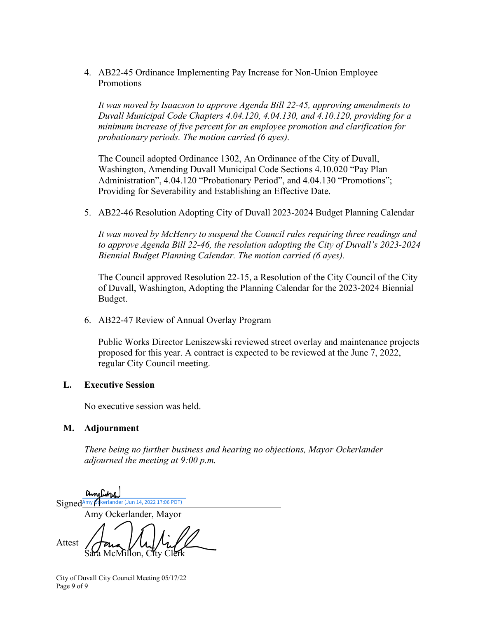4. AB22-45 Ordinance Implementing Pay Increase for Non-Union Employee Promotions

*It was moved by Isaacson to approve Agenda Bill 22-45, approving amendments to Duvall Municipal Code Chapters 4.04.120, 4.04.130, and 4.10.120, providing for a minimum increase of five percent for an employee promotion and clarification for probationary periods. The motion carried (6 ayes).* 

The Council adopted Ordinance 1302, An Ordinance of the City of Duvall, Washington, Amending Duvall Municipal Code Sections 4.10.020 "Pay Plan Administration", 4.04.120 "Probationary Period", and 4.04.130 "Promotions"; Providing for Severability and Establishing an Effective Date.

5. AB22-46 Resolution Adopting City of Duvall 2023-2024 Budget Planning Calendar

*It was moved by McHenry to suspend the Council rules requiring three readings and to approve Agenda Bill 22-46, the resolution adopting the City of Duvall's 2023-2024 Biennial Budget Planning Calendar. The motion carried (6 ayes).* 

The Council approved Resolution 22-15, a Resolution of the City Council of the City of Duvall, Washington, Adopting the Planning Calendar for the 2023-2024 Biennial Budget.

6. AB22-47 Review of Annual Overlay Program

Public Works Director Leniszewski reviewed street overlay and maintenance projects proposed for this year. A contract is expected to be reviewed at the June 7, 2022, regular City Council meeting.

#### **L. Executive Session**

No executive session was held.

#### **M. Adjournment**

*There being no further business and hearing no objections, Mayor Ockerlander adjourned the meeting at 9:00 p.m.* 

amilid Signed<sup>Amy Do</sup> kerlander (Jun 14, 2022 17:06 PDT Amy Ockerlander, Mayor Attest Sara McMillon, City Clerk

City of Duvall City Council Meeting 05/17/22 Page 9 of 9